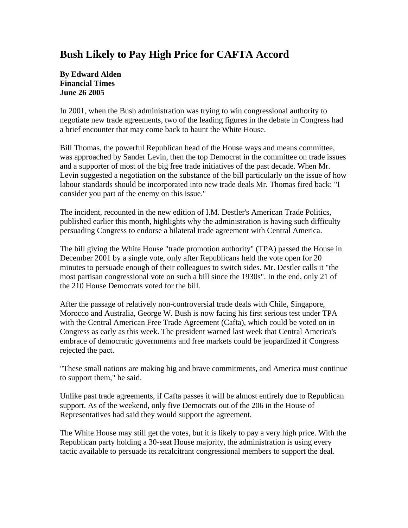## **Bush Likely to Pay High Price for CAFTA Accord**

## **By Edward Alden Financial Times June 26 2005**

In 2001, when the Bush administration was trying to win congressional authority to negotiate new trade agreements, two of the leading figures in the debate in Congress had a brief encounter that may come back to haunt the White House.

Bill Thomas, the powerful Republican head of the House ways and means committee, was approached by Sander Levin, then the top Democrat in the committee on trade issues and a supporter of most of the big free trade initiatives of the past decade. When Mr. Levin suggested a negotiation on the substance of the bill particularly on the issue of how labour standards should be incorporated into new trade deals Mr. Thomas fired back: "I consider you part of the enemy on this issue."

The incident, recounted in the new edition of I.M. Destler's American Trade Politics, published earlier this month, highlights why the administration is having such difficulty persuading Congress to endorse a bilateral trade agreement with Central America.

The bill giving the White House "trade promotion authority" (TPA) passed the House in December 2001 by a single vote, only after Republicans held the vote open for 20 minutes to persuade enough of their colleagues to switch sides. Mr. Destler calls it "the most partisan congressional vote on such a bill since the 1930s". In the end, only 21 of the 210 House Democrats voted for the bill.

After the passage of relatively non-controversial trade deals with Chile, Singapore, Morocco and Australia, George W. Bush is now facing his first serious test under TPA with the Central American Free Trade Agreement (Cafta), which could be voted on in Congress as early as this week. The president warned last week that Central America's embrace of democratic governments and free markets could be jeopardized if Congress rejected the pact.

"These small nations are making big and brave commitments, and America must continue to support them," he said.

Unlike past trade agreements, if Cafta passes it will be almost entirely due to Republican support. As of the weekend, only five Democrats out of the 206 in the House of Representatives had said they would support the agreement.

The White House may still get the votes, but it is likely to pay a very high price. With the Republican party holding a 30-seat House majority, the administration is using every tactic available to persuade its recalcitrant congressional members to support the deal.